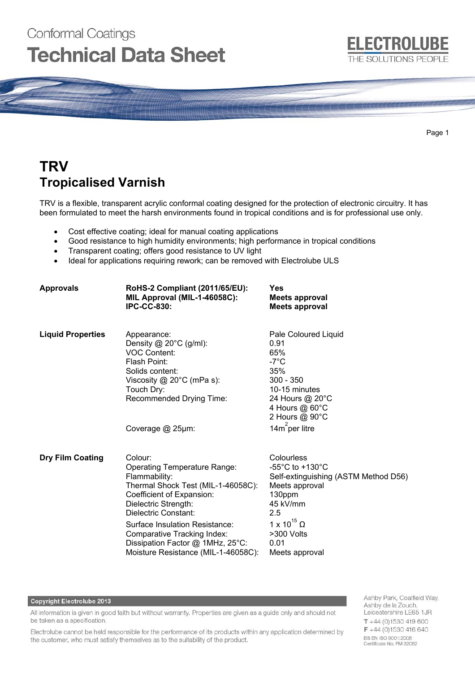# **Conformal Coatings Technical Data Sheet**



Page 1

# **TRV Tropicalised Varnish**

TRV is a flexible, transparent acrylic conformal coating designed for the protection of electronic circuitry. It has been formulated to meet the harsh environments found in tropical conditions and is for professional use only.

- Cost effective coating; ideal for manual coating applications
- Good resistance to high humidity environments; high performance in tropical conditions
- Transparent coating; offers good resistance to UV light
- Ideal for applications requiring rework; can be removed with Electrolube ULS

| <b>Approvals</b>         | RoHS-2 Compliant (2011/65/EU):<br>MIL Approval (MIL-1-46058C):<br><b>IPC-CC-830:</b>                                                                                                                                                                                                                                                         | Yes<br>Meets approval<br><b>Meets approval</b>                                                                                                                                                               |
|--------------------------|----------------------------------------------------------------------------------------------------------------------------------------------------------------------------------------------------------------------------------------------------------------------------------------------------------------------------------------------|--------------------------------------------------------------------------------------------------------------------------------------------------------------------------------------------------------------|
| <b>Liquid Properties</b> | Appearance:<br>Density $@$ 20 $°C$ (g/ml):<br><b>VOC Content:</b><br>Flash Point:<br>Solids content:<br>Viscosity $@$ 20 $°C$ (mPa s):<br>Touch Dry:<br>Recommended Drying Time:                                                                                                                                                             | Pale Coloured Liquid<br>0.91<br>65%<br>$-7^{\circ}$ C<br>35%<br>$300 - 350$<br>10-15 minutes<br>24 Hours @ 20°C<br>4 Hours @ 60°C<br>2 Hours @ 90°C                                                          |
|                          | Coverage @ 25µm:                                                                                                                                                                                                                                                                                                                             | 14 $m^2$ per litre                                                                                                                                                                                           |
| <b>Dry Film Coating</b>  | Colour:<br><b>Operating Temperature Range:</b><br>Flammability:<br>Thermal Shock Test (MIL-1-46058C):<br>Coefficient of Expansion:<br>Dielectric Strength:<br><b>Dielectric Constant:</b><br>Surface Insulation Resistance:<br><b>Comparative Tracking Index:</b><br>Dissipation Factor @ 1MHz, 25°C:<br>Moisture Resistance (MIL-1-46058C): | Colourless<br>-55 $^{\circ}$ C to +130 $^{\circ}$ C<br>Self-extinguishing (ASTM Method D56)<br>Meets approval<br>130ppm<br>45 kV/mm<br>2.5<br>1 x 10 <sup>15</sup> Ω<br>>300 Volts<br>0.01<br>Meets approval |

#### Copyright Electrolube 2013

All information is given in good faith but without warranty. Properties are given as a guide only and should not be taken as a specification.

Electrolube cannot be held responsible for the performance of its products within any application determined by the customer, who must satisfy themselves as to the suitability of the product.

Ashby Park, Coalfield Way, Ashby de la Zouch, Leicestershire LE65 1JR  $T + 44(0)1530419600$ F +44 (0)1530 416 640 BS EN ISO 9001:2008 Certificate No. FM 32082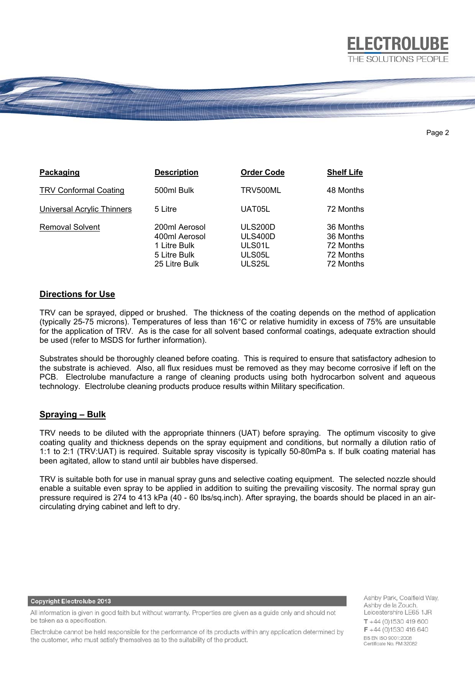

#### Page 2

| Packaging                         | <b>Description</b>                                                              | <b>Order Code</b>                                       | <b>Shelf Life</b>                                             |
|-----------------------------------|---------------------------------------------------------------------------------|---------------------------------------------------------|---------------------------------------------------------------|
| <b>TRV Conformal Coating</b>      | 500ml Bulk                                                                      | TRV500ML                                                | 48 Months                                                     |
| <b>Universal Acrylic Thinners</b> | 5 Litre                                                                         | UAT05L                                                  | 72 Months                                                     |
| <b>Removal Solvent</b>            | 200ml Aerosol<br>400ml Aerosol<br>1 Litre Bulk<br>5 Litre Bulk<br>25 Litre Bulk | <b>ULS200D</b><br>ULS400D<br>ULS01L<br>ULS05L<br>ULS25L | 36 Months<br>36 Months<br>72 Months<br>72 Months<br>72 Months |

## **Directions for Use**

TRV can be sprayed, dipped or brushed. The thickness of the coating depends on the method of application (typically 25-75 microns). Temperatures of less than 16°C or relative humidity in excess of 75% are unsuitable for the application of TRV. As is the case for all solvent based conformal coatings, adequate extraction should be used (refer to MSDS for further information).

Substrates should be thoroughly cleaned before coating. This is required to ensure that satisfactory adhesion to the substrate is achieved. Also, all flux residues must be removed as they may become corrosive if left on the PCB. Electrolube manufacture a range of cleaning products using both hydrocarbon solvent and aqueous technology. Electrolube cleaning products produce results within Military specification.

# **Spraying – Bulk**

TRV needs to be diluted with the appropriate thinners (UAT) before spraying. The optimum viscosity to give coating quality and thickness depends on the spray equipment and conditions, but normally a dilution ratio of 1:1 to 2:1 (TRV:UAT) is required. Suitable spray viscosity is typically 50-80mPa s. If bulk coating material has been agitated, allow to stand until air bubbles have dispersed.

TRV is suitable both for use in manual spray guns and selective coating equipment. The selected nozzle should enable a suitable even spray to be applied in addition to suiting the prevailing viscosity. The normal spray gun pressure required is 274 to 413 kPa (40 - 60 lbs/sq.inch). After spraying, the boards should be placed in an aircirculating drying cabinet and left to dry.

#### **Copyright Electrolube 2013**

All information is given in good faith but without warranty. Properties are given as a guide only and should not be taken as a specification.

Electrolube cannot be held responsible for the performance of its products within any application determined by the customer, who must satisfy themselves as to the suitability of the product.

Ashby Park, Coalfield Way, Ashby de la Zouch, Leicestershire LE65 1JR  $T + 44(0)1530419600$  $F + 44(0)1530416640$ BS EN ISO 9001:2008 Certificate No. FM 32082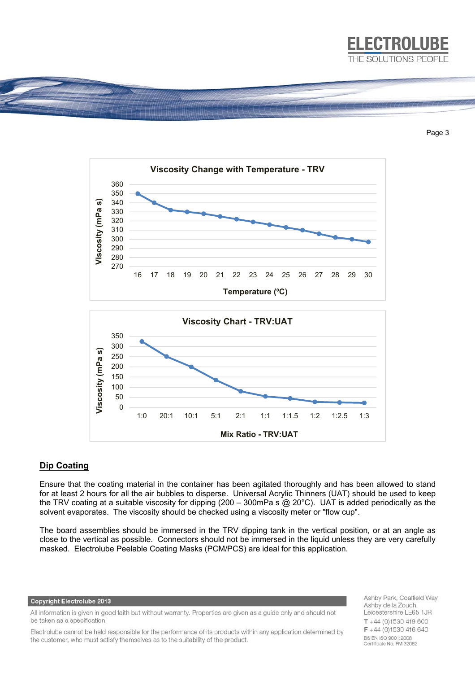

Page 3



# **Dip Coating**

Ensure that the coating material in the container has been agitated thoroughly and has been allowed to stand for at least 2 hours for all the air bubbles to disperse. Universal Acrylic Thinners (UAT) should be used to keep the TRV coating at a suitable viscosity for dipping (200 – 300mPa s @ 20°C). UAT is added periodically as the solvent evaporates. The viscosity should be checked using a viscosity meter or "flow cup".

The board assemblies should be immersed in the TRV dipping tank in the vertical position, or at an angle as close to the vertical as possible. Connectors should not be immersed in the liquid unless they are very carefully masked. Electrolube Peelable Coating Masks (PCM/PCS) are ideal for this application.

#### **Copyright Electrolube 2013**

All information is given in good faith but without warranty. Properties are given as a guide only and should not be taken as a specification.

Electrolube cannot be held responsible for the performance of its products within any application determined by the customer, who must satisfy themselves as to the suitability of the product.

Ashby Park, Coalfield Way, Ashby de la Zouch, Leicestershire LE65 1JR  $T + 44(0)1530419600$  $F + 44(0)1530416640$ BS EN ISO 9001:2008 Certificate No. FM 32082